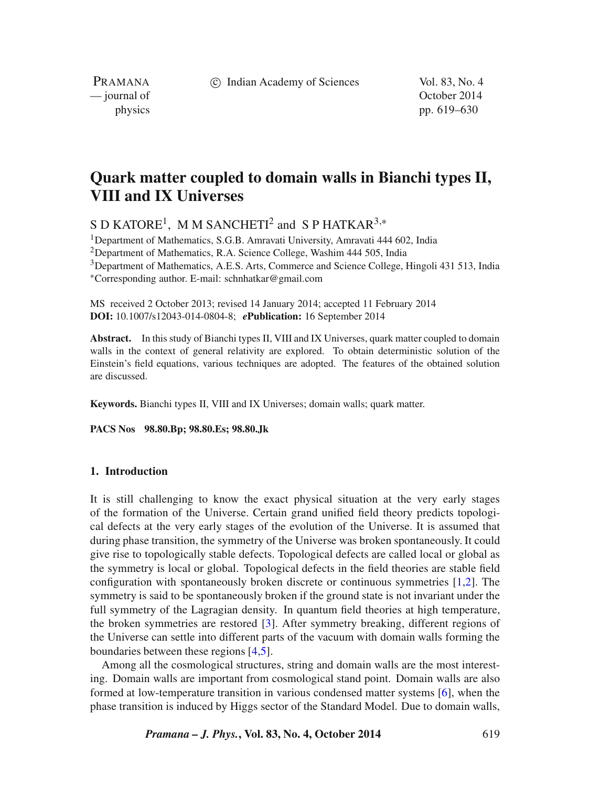c Indian Academy of Sciences Vol. 83, No. 4

PRAMANA<br>
— journal of

October 2014 physics pp. 619–630

# **Quark matter coupled to domain walls in Bianchi types II, VIII and IX Universes**

S D KATORE<sup>1</sup>, M M SANCHETI<sup>2</sup> and S P HATKAR<sup>3,\*</sup>

<sup>1</sup>Department of Mathematics, S.G.B. Amravati University, Amravati 444 602, India <sup>2</sup>Department of Mathematics, R.A. Science College, Washim 444 505, India 3Department of Mathematics, A.E.S. Arts, Commerce and Science College, Hingoli 431 513, India ∗Corresponding author. E-mail: schnhatkar@gmail.com

MS received 2 October 2013; revised 14 January 2014; accepted 11 February 2014 **DOI:** 10.1007/s12043-014-0804-8; *e***Publication:** 16 September 2014

**Abstract.** In this study of Bianchi types II, VIII and IX Universes, quark matter coupled to domain walls in the context of general relativity are explored. To obtain deterministic solution of the Einstein's field equations, various techniques are adopted. The features of the obtained solution are discussed.

**Keywords.** Bianchi types II, VIII and IX Universes; domain walls; quark matter.

**PACS Nos 98.80.Bp; 98.80.Es; 98.80.Jk**

### **1. Introduction**

It is still challenging to know the exact physical situation at the very early stages of the formation of the Universe. Certain grand unified field theory predicts topological defects at the very early stages of the evolution of the Universe. It is assumed that during phase transition, the symmetry of the Universe was broken spontaneously. It could give rise to topologically stable defects. Topological defects are called local or global as the symmetry is local or global. Topological defects in the field theories are stable field configuration with spontaneously broken discrete or continuous symmetries [\[1](#page-10-0)[,2\]](#page-10-1). The symmetry is said to be spontaneously broken if the ground state is not invariant under the full symmetry of the Lagragian density. In quantum field theories at high temperature, the broken symmetries are restored [\[3\]](#page-10-2). After symmetry breaking, different regions of the Universe can settle into different parts of the vacuum with domain walls forming the boundaries between these regions [\[4](#page-10-3)[,5\]](#page-10-4).

Among all the cosmological structures, string and domain walls are the most interesting. Domain walls are important from cosmological stand point. Domain walls are also formed at low-temperature transition in various condensed matter systems [\[6\]](#page-10-5), when the phase transition is induced by Higgs sector of the Standard Model. Due to domain walls,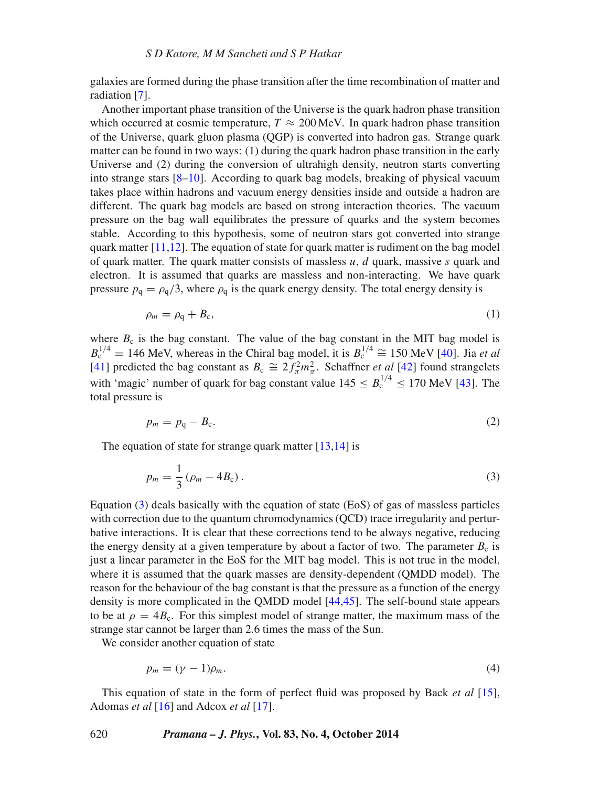galaxies are formed during the phase transition after the time recombination of matter and radiation [\[7\]](#page-10-6).

Another important phase transition of the Universe is the quark hadron phase transition which occurred at cosmic temperature,  $T \approx 200 \,\text{MeV}$ . In quark hadron phase transition of the Universe, quark gluon plasma (QGP) is converted into hadron gas. Strange quark matter can be found in two ways: (1) during the quark hadron phase transition in the early Universe and (2) during the conversion of ultrahigh density, neutron starts converting into strange stars [\[8–](#page-10-7)[10\]](#page-11-0). According to quark bag models, breaking of physical vacuum takes place within hadrons and vacuum energy densities inside and outside a hadron are different. The quark bag models are based on strong interaction theories. The vacuum pressure on the bag wall equilibrates the pressure of quarks and the system becomes stable. According to this hypothesis, some of neutron stars got converted into strange quark matter  $[11,12]$  $[11,12]$ . The equation of state for quark matter is rudiment on the bag model of quark matter. The quark matter consists of massless  $u, d$  quark, massive s quark and electron. It is assumed that quarks are massless and non-interacting. We have quark pressure  $p_q = \rho_q/3$ , where  $\rho_q$  is the quark energy density. The total energy density is

<span id="page-1-2"></span>
$$
\rho_m = \rho_q + B_c,\tag{1}
$$

where  $B_c$  is the bag constant. The value of the bag constant in the MIT bag model is  $B_c^{1/4} = 146$  MeV, whereas in the Chiral bag model, it is  $B_c^{1/4} \approx 150$  MeV [\[40\]](#page-11-3). Jia *et al* [\[41\]](#page-11-4) predicted the bag constant as  $B_c \cong 2f_{\pi}^2 m_{\pi}^2$ . Schaffner *et al* [\[42\]](#page-11-5) found strangelets with 'magic' number of quark for bag constant value  $145 \leq B_c^{1/4} < 170$  MeV [\[43\]](#page-11-6). The total pressure is

$$
p_m = p_q - B_c. \tag{2}
$$

The equation of state for strange quark matter [\[13,](#page-11-7)[14\]](#page-11-8) is

<span id="page-1-0"></span>
$$
p_m = \frac{1}{3} (\rho_m - 4B_c).
$$
 (3)

Equation [\(3\)](#page-1-0) deals basically with the equation of state (EoS) of gas of massless particles with correction due to the quantum chromodynamics (QCD) trace irregularity and perturbative interactions. It is clear that these corrections tend to be always negative, reducing the energy density at a given temperature by about a factor of two. The parameter  $B_c$  is just a linear parameter in the EoS for the MIT bag model. This is not true in the model, where it is assumed that the quark masses are density-dependent (QMDD model). The reason for the behaviour of the bag constant is that the pressure as a function of the energy density is more complicated in the QMDD model [\[44](#page-11-9)[,45\]](#page-11-10). The self-bound state appears to be at  $\rho = 4B_c$ . For this simplest model of strange matter, the maximum mass of the strange star cannot be larger than 2.6 times the mass of the Sun.

We consider another equation of state

<span id="page-1-1"></span>
$$
p_m = (\gamma - 1)\rho_m. \tag{4}
$$

This equation of state in the form of perfect fluid was proposed by Back *et al* [\[15\]](#page-11-11), Adomas *et al* [\[16\]](#page-11-12) and Adcox *et al* [\[17\]](#page-11-13).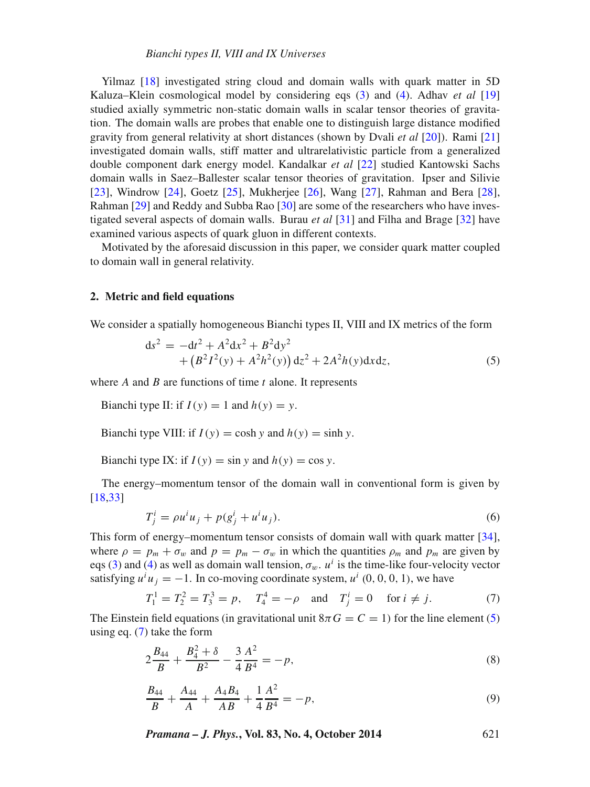Yilmaz [\[18\]](#page-11-14) investigated string cloud and domain walls with quark matter in 5D Kaluza–Klein cosmological model by considering eqs [\(3\)](#page-1-0) and [\(4\)](#page-1-1). Adhav *et al* [\[19\]](#page-11-15) studied axially symmetric non-static domain walls in scalar tensor theories of gravitation. The domain walls are probes that enable one to distinguish large distance modified gravity from general relativity at short distances (shown by Dvali *et al* [\[20\]](#page-11-16)). Rami [\[21\]](#page-11-17) investigated domain walls, stiff matter and ultrarelativistic particle from a generalized double component dark energy model. Kandalkar *et al* [\[22\]](#page-11-18) studied Kantowski Sachs domain walls in Saez–Ballester scalar tensor theories of gravitation. Ipser and Silivie [\[23\]](#page-11-19), Windrow [\[24\]](#page-11-20), Goetz [\[25\]](#page-11-21), Mukherjee [\[26\]](#page-11-22), Wang [\[27\]](#page-11-23), Rahman and Bera [\[28\]](#page-11-24), Rahman [\[29\]](#page-11-25) and Reddy and Subba Rao [\[30\]](#page-11-26) are some of the researchers who have investigated several aspects of domain walls. Burau *et al* [\[31\]](#page-11-27) and Filha and Brage [\[32\]](#page-11-28) have examined various aspects of quark gluon in different contexts.

Motivated by the aforesaid discussion in this paper, we consider quark matter coupled to domain wall in general relativity.

### **2. Metric and field equations**

We consider a spatially homogeneous Bianchi types II, VIII and IX metrics of the form

<span id="page-2-0"></span>
$$
ds^{2} = -dt^{2} + A^{2}dx^{2} + B^{2}dy^{2}
$$
  
+  $(B^{2}I^{2}(y) + A^{2}h^{2}(y)) dz^{2} + 2A^{2}h(y)dx dz,$  (5)

where  $A$  and  $B$  are functions of time  $t$  alone. It represents

Bianchi type II: if  $I(y) = 1$  and  $h(y) = y$ .

Bianchi type VIII: if  $I(y) = \cosh y$  and  $h(y) = \sinh y$ .

Bianchi type IX: if  $I(y) = \sin y$  and  $h(y) = \cos y$ .

The energy–momentum tensor of the domain wall in conventional form is given by [\[18](#page-11-14)[,33\]](#page-11-29)

$$
T_j^i = \rho u^i u_j + p(g_j^i + u^i u_j).
$$
 (6)

This form of energy–momentum tensor consists of domain wall with quark matter [\[34\]](#page-11-30), where  $\rho = p_m + \sigma_w$  and  $p = p_m - \sigma_w$  in which the quantities  $\rho_m$  and  $p_m$  are given by eqs [\(3\)](#page-1-0) and [\(4\)](#page-1-1) as well as domain wall tension,  $\sigma_w$ .  $u^i$  is the time-like four-velocity vector satisfying  $u^i u_j = -1$ . In co-moving coordinate system,  $u^i$  (0, 0, 0, 1), we have

<span id="page-2-1"></span>
$$
T_1^1 = T_2^2 = T_3^3 = p
$$
,  $T_4^4 = -\rho$  and  $T_j^i = 0$  for  $i \neq j$ . (7)

The Einstein field equations (in gravitational unit  $8\pi G = C = 1$ ) for the line element [\(5\)](#page-2-0) using eq. [\(7\)](#page-2-1) take the form

<span id="page-2-2"></span>
$$
2\frac{B_{44}}{B} + \frac{B_4^2 + \delta}{B^2} - \frac{3}{4}\frac{A^2}{B^4} = -p,\tag{8}
$$

<span id="page-2-3"></span>
$$
\frac{B_{44}}{B} + \frac{A_{44}}{A} + \frac{A_4 B_4}{AB} + \frac{1}{4} \frac{A^2}{B^4} = -p,\tag{9}
$$

*Pramana – J. Phys.***, Vol. 83, No. 4, October 2014** 621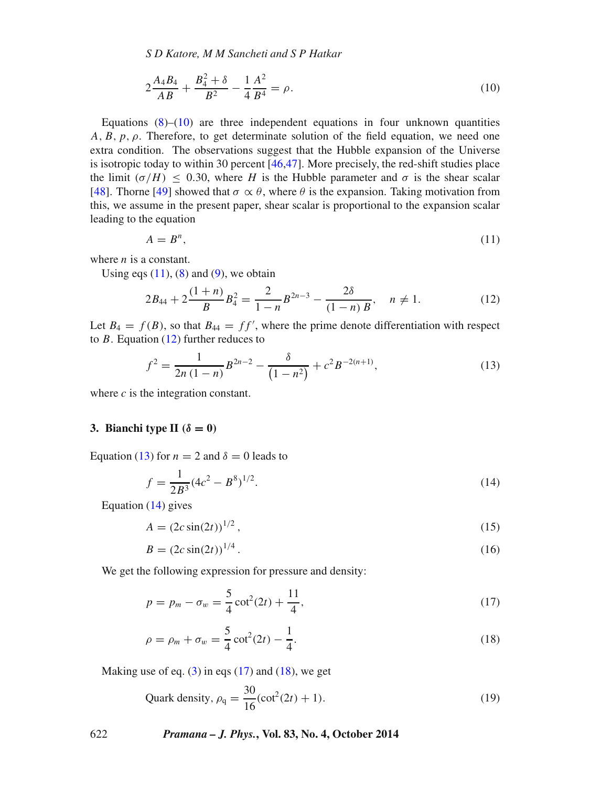*S D Katore, M M Sancheti and S P Hatkar*

$$
2\frac{A_4B_4}{AB} + \frac{B_4^2 + \delta}{B^2} - \frac{1}{4}\frac{A^2}{B^4} = \rho.
$$
 (10)

<span id="page-3-0"></span>Equations  $(8)$ – $(10)$  are three independent equations in four unknown quantities  $A, B, p, \rho$ . Therefore, to get determinate solution of the field equation, we need one extra condition. The observations suggest that the Hubble expansion of the Universe is isotropic today to within 30 percent  $[46,47]$  $[46,47]$ . More precisely, the red-shift studies place the limit ( $\sigma/H$ )  $\leq$  0.30, where H is the Hubble parameter and  $\sigma$  is the shear scalar [\[48\]](#page-11-33). Thorne [\[49\]](#page-11-34) showed that  $\sigma \propto \theta$ , where  $\theta$  is the expansion. Taking motivation from this, we assume in the present paper, shear scalar is proportional to the expansion scalar leading to the equation

<span id="page-3-1"></span>
$$
A = B^n,\tag{11}
$$

where  $n$  is a constant.

Using eqs  $(11)$ ,  $(8)$  and  $(9)$ , we obtain

<span id="page-3-2"></span>
$$
2B_{44} + 2\frac{(1+n)}{B}B_4^2 = \frac{2}{1-n}B^{2n-3} - \frac{2\delta}{(1-n)B}, \quad n \neq 1.
$$
 (12)

Let  $B_4 = f(B)$ , so that  $B_{44} = ff'$ , where the prime denote differentiation with respect to  $B$ . Equation [\(12\)](#page-3-2) further reduces to

<span id="page-3-3"></span>
$$
f^{2} = \frac{1}{2n(1-n)}B^{2n-2} - \frac{\delta}{(1-n^{2})} + c^{2}B^{-2(n+1)},
$$
\n(13)

where  $c$  is the integration constant.

### **3. Bianchi type II**  $(\delta = 0)$

Equation [\(13\)](#page-3-3) for  $n = 2$  and  $\delta = 0$  leads to

<span id="page-3-4"></span>
$$
f = \frac{1}{2B^3} (4c^2 - B^8)^{1/2}.
$$
 (14)

Equation  $(14)$  gives

$$
A = (2c\sin(2t))^{1/2},\tag{15}
$$

<span id="page-3-5"></span>
$$
B = (2c\sin(2t))^{1/4} \,. \tag{16}
$$

We get the following expression for pressure and density:

$$
p = p_m - \sigma_w = \frac{5}{4} \cot^2(2t) + \frac{11}{4},\tag{17}
$$

$$
\rho = \rho_m + \sigma_w = \frac{5}{4} \cot^2(2t) - \frac{1}{4}.
$$
\n(18)

<span id="page-3-6"></span>Making use of eq.  $(3)$  in eqs  $(17)$  and  $(18)$ , we get

<span id="page-3-7"></span>Quark density, 
$$
\rho_q = \frac{30}{16} (\cot^2(2t) + 1).
$$
 (19)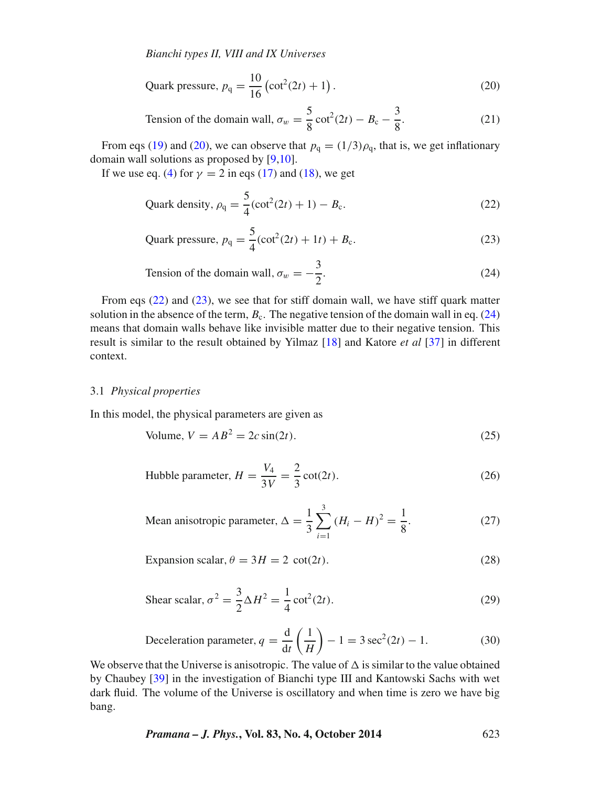<span id="page-4-0"></span>Quark pressure, 
$$
p_q = \frac{10}{16} (\cot^2(2t) + 1)
$$
. (20)

Tension of the domain wall, 
$$
\sigma_w = \frac{5}{8} \cot^2(2t) - B_c - \frac{3}{8}
$$
. (21)

From eqs [\(19\)](#page-3-7) and [\(20\)](#page-4-0), we can observe that  $p_q = (1/3)\rho_q$ , that is, we get inflationary domain wall solutions as proposed by [\[9,](#page-10-8)[10\]](#page-11-0).

<span id="page-4-2"></span>If we use eq. [\(4\)](#page-1-1) for  $\gamma = 2$  in eqs [\(17\)](#page-3-5) and [\(18\)](#page-3-6), we get

<span id="page-4-1"></span>Quark density, 
$$
\rho_q = \frac{5}{4} (\cot^2(2t) + 1) - B_c.
$$
 (22)

Quark pressure, 
$$
p_q = \frac{5}{4} (\cot^2(2t) + 1t) + B_c.
$$
 (23)

Tension of the domain wall, 
$$
\sigma_w = -\frac{3}{2}
$$
. (24)

<span id="page-4-3"></span>From eqs [\(22\)](#page-4-1) and [\(23\)](#page-4-2), we see that for stiff domain wall, we have stiff quark matter solution in the absence of the term,  $B_c$ . The negative tension of the domain wall in eq. [\(24\)](#page-4-3) means that domain walls behave like invisible matter due to their negative tension. This result is similar to the result obtained by Yilmaz [\[18\]](#page-11-14) and Katore *et al* [\[37\]](#page-11-35) in different context.

### 3.1 *Physical properties*

In this model, the physical parameters are given as

Volume, 
$$
V = AB^2 = 2c \sin(2t). \tag{25}
$$

Hubble parameter, 
$$
H = \frac{V_4}{3V} = \frac{2}{3} \cot(2t)
$$
. (26)

Mean anisotropic parameter, 
$$
\Delta = \frac{1}{3} \sum_{i=1}^{3} (H_i - H)^2 = \frac{1}{8}
$$
. (27)

$$
Expansion scalar, \theta = 3H = 2 \cot(2t). \tag{28}
$$

Shear scalar, 
$$
\sigma^2 = \frac{3}{2} \Delta H^2 = \frac{1}{4} \cot^2(2t)
$$
. (29)

Deceleration parameter, 
$$
q = \frac{d}{dt} \left( \frac{1}{H} \right) - 1 = 3 \sec^2(2t) - 1.
$$
 (30)

We observe that the Universe is anisotropic. The value of  $\Delta$  is similar to the value obtained by Chaubey [\[39\]](#page-11-36) in the investigation of Bianchi type III and Kantowski Sachs with wet dark fluid. The volume of the Universe is oscillatory and when time is zero we have big bang.

*Pramana – J. Phys.***, Vol. 83, No. 4, October 2014** 623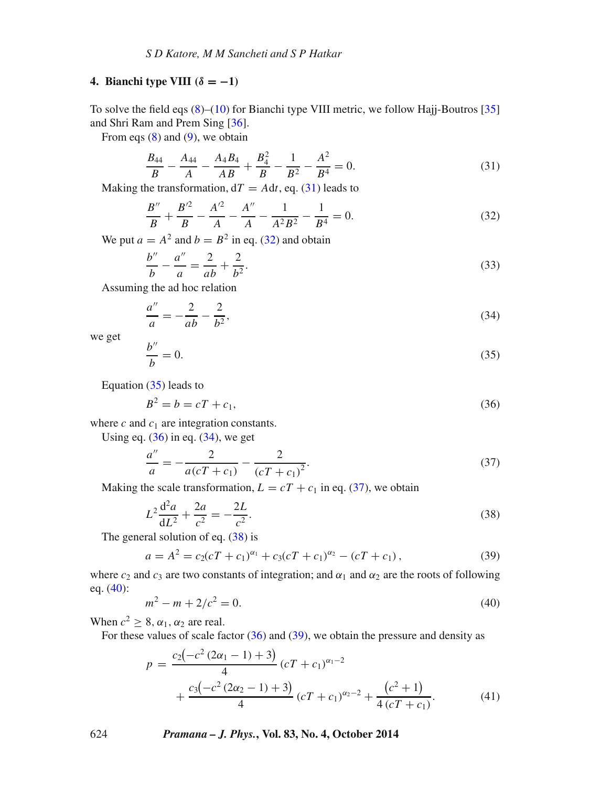### **4. Bianchi type VIII**  $(\delta = -1)$

To solve the field eqs [\(8\)](#page-2-2)–[\(10\)](#page-3-0) for Bianchi type VIII metric, we follow Hajj-Boutros [\[35\]](#page-11-37) and Shri Ram and Prem Sing [\[36\]](#page-11-38).

From eqs  $(8)$  and  $(9)$ , we obtain

<span id="page-5-0"></span>
$$
\frac{B_{44}}{B} - \frac{A_{44}}{A} - \frac{A_4 B_4}{AB} + \frac{B_4^2}{B} - \frac{1}{B^2} - \frac{A^2}{B^4} = 0.
$$
 (31)

Making the transformation,  $dT = Adt$ , eq. [\(31\)](#page-5-0) leads to

<span id="page-5-1"></span>
$$
\frac{B''}{B} + \frac{B'^2}{B} - \frac{A'^2}{A} - \frac{A''}{A} - \frac{1}{A^2 B^2} - \frac{1}{B^4} = 0.
$$
 (32)

We put  $a = A^2$  and  $b = B^2$  in eq. [\(32\)](#page-5-1) and obtain

$$
\frac{b''}{b} - \frac{a''}{a} = \frac{2}{ab} + \frac{2}{b^2}.\tag{33}
$$

Assuming the ad hoc relation

<span id="page-5-4"></span>
$$
\frac{a''}{a} = -\frac{2}{ab} - \frac{2}{b^2},\tag{34}
$$

we get

<span id="page-5-2"></span>
$$
\frac{b''}{b} = 0.\tag{35}
$$

Equation [\(35\)](#page-5-2) leads to

<span id="page-5-3"></span>
$$
B^2 = b = cT + c_1,\t\t(36)
$$

where  $c$  and  $c_1$  are integration constants.

Using eq.  $(36)$  in eq.  $(34)$ , we get

<span id="page-5-6"></span><span id="page-5-5"></span>
$$
\frac{a''}{a} = -\frac{2}{a(cT + c_1)} - \frac{2}{(cT + c_1)^2}.\tag{37}
$$

Making the scale transformation,  $L = cT + c_1$  in eq. [\(37\)](#page-5-5), we obtain

$$
L^2 \frac{d^2 a}{dL^2} + \frac{2a}{c^2} = -\frac{2L}{c^2}.
$$
 (38)

The general solution of eq.  $(38)$  is

<span id="page-5-8"></span>
$$
a = A2 = c2(cT + c1)\alpha1 + c3(cT + c1)\alpha2 - (cT + c1),
$$
\n(39)

where  $c_2$  and  $c_3$  are two constants of integration; and  $\alpha_1$  and  $\alpha_2$  are the roots of following eq. [\(40\)](#page-5-7):

<span id="page-5-7"></span>
$$
m^2 - m + 2/c^2 = 0.\tag{40}
$$

When  $c^2 \geq 8$ ,  $\alpha_1$ ,  $\alpha_2$  are real.

For these values of scale factor  $(36)$  and  $(39)$ , we obtain the pressure and density as

<span id="page-5-9"></span>
$$
p = \frac{c_2(-c^2(2\alpha_1 - 1) + 3)}{4} (cT + c_1)^{\alpha_1 - 2} + \frac{c_3(-c^2(2\alpha_2 - 1) + 3)}{4} (cT + c_1)^{\alpha_2 - 2} + \frac{(c^2 + 1)}{4(cT + c_1)}.
$$
(41)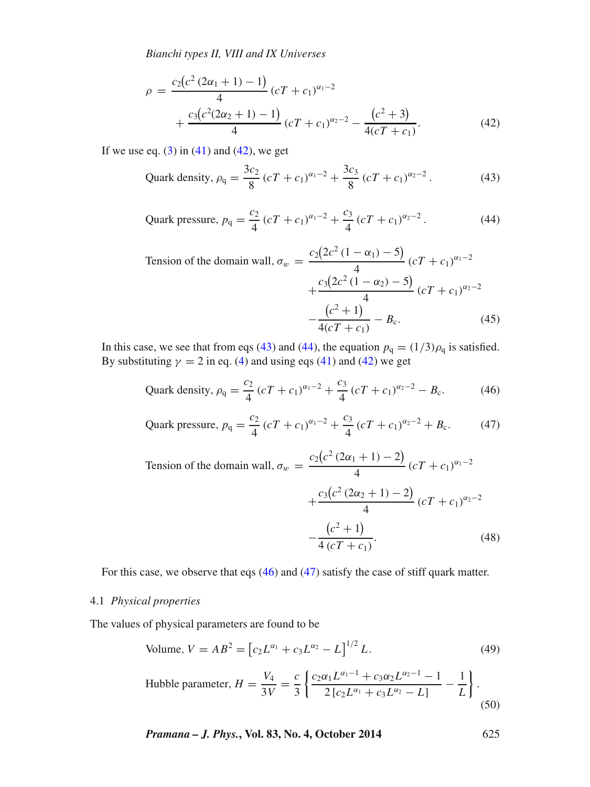<span id="page-6-0"></span>
$$
\rho = \frac{c_2(c^2(2\alpha_1 + 1) - 1)}{4} (cT + c_1)^{\alpha_1 - 2} + \frac{c_3(c^2(2\alpha_2 + 1) - 1)}{4} (cT + c_1)^{\alpha_2 - 2} - \frac{(c^2 + 3)}{4(cT + c_1)}.
$$
\n(42)

<span id="page-6-2"></span>If we use eq.  $(3)$  in  $(41)$  and  $(42)$ , we get

<span id="page-6-1"></span>Quark density, 
$$
\rho_q = \frac{3c_2}{8} (cT + c_1)^{\alpha_1 - 2} + \frac{3c_3}{8} (cT + c_1)^{\alpha_2 - 2}
$$
. (43)

Quark pressure, 
$$
p_q = \frac{c_2}{4} (cT + c_1)^{\alpha_1 - 2} + \frac{c_3}{4} (cT + c_1)^{\alpha_2 - 2}
$$
. (44)

Tension of the domain wall, 
$$
\sigma_w = \frac{c_2(2c^2(1-\alpha_1)-5)}{4} (cT + c_1)^{\alpha_1-2}
$$
  
  $+ \frac{c_3(2c^2(1-\alpha_2)-5)}{4} (cT + c_1)^{\alpha_2-2}$   
  $- \frac{(c^2+1)}{4(cT + c_1)} - B_c.$  (45)

In this case, we see that from eqs [\(43\)](#page-6-1) and [\(44\)](#page-6-2), the equation  $p_q = (1/3)\rho_q$  is satisfied. By substituting  $\gamma = 2$  in eq. [\(4\)](#page-1-1) and using eqs [\(41\)](#page-5-9) and [\(42\)](#page-6-0) we get

<span id="page-6-3"></span>Quark density, 
$$
\rho_q = \frac{c_2}{4} (cT + c_1)^{\alpha_1 - 2} + \frac{c_3}{4} (cT + c_1)^{\alpha_2 - 2} - B_c.
$$
 (46)

<span id="page-6-4"></span>Quark pressure, 
$$
p_q = \frac{c_2}{4} (cT + c_1)^{\alpha_1 - 2} + \frac{c_3}{4} (cT + c_1)^{\alpha_2 - 2} + B_c.
$$
 (47)

Tension of the domain wall, 
$$
\sigma_w = \frac{c_2(c^2(2\alpha_1 + 1) - 2)}{4} (cT + c_1)^{\alpha_1 - 2}
$$
  
  $+ \frac{c_3(c^2(2\alpha_2 + 1) - 2)}{4} (cT + c_1)^{\alpha_2 - 2}$   
  $- \frac{(c^2 + 1)}{4 (cT + c_1)}.$  (48)

For this case, we observe that eqs [\(46\)](#page-6-3) and [\(47\)](#page-6-4) satisfy the case of stiff quark matter.

# 4.1 *Physical properties*

The values of physical parameters are found to be

Volume, 
$$
V = AB^2 = [c_2 L^{\alpha_1} + c_3 L^{\alpha_2} - L]^{1/2} L.
$$
 (49)

Hubble parameter, 
$$
H = \frac{V_4}{3V} = \frac{c}{3} \left\{ \frac{c_2 \alpha_1 L^{\alpha_1 - 1} + c_3 \alpha_2 L^{\alpha_2 - 1} - 1}{2 \left[ c_2 L^{\alpha_1} + c_3 L^{\alpha_2} - L \right]} - \frac{1}{L} \right\}.
$$
 (50)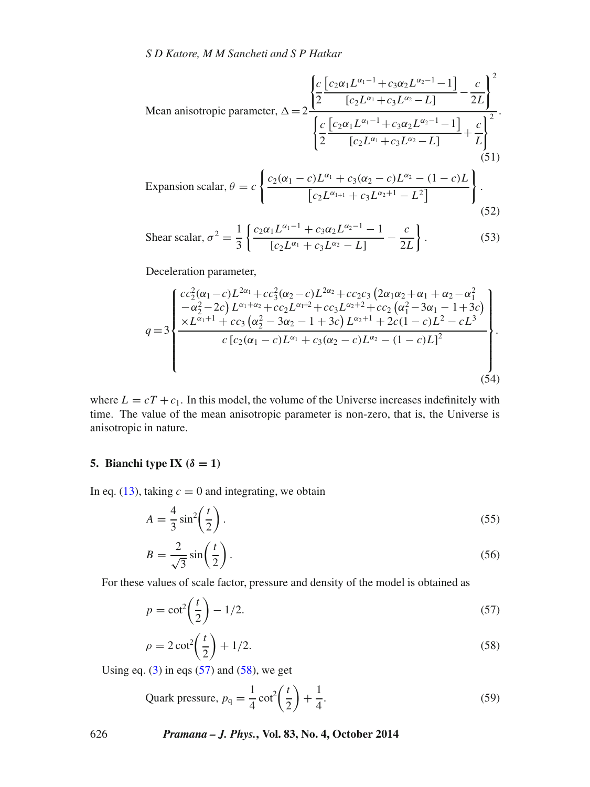Mean anisotropic parameter, 
$$
\Delta = 2 \frac{\left\{ \frac{c}{2} \frac{\left[c_2 \alpha_1 L^{\alpha_1 - 1} + c_3 \alpha_2 L^{\alpha_2 - 1} - 1\right]}{\left[c_2 L^{\alpha_1} + c_3 L^{\alpha_2} - L\right]} - \frac{c}{2L} \right\}^2}{\left\{ \frac{c}{2} \frac{\left[c_2 \alpha_1 L^{\alpha_1 - 1} + c_3 \alpha_2 L^{\alpha_2 - 1} - 1\right]}{\left[c_2 L^{\alpha_1} + c_3 L^{\alpha_2} - L\right]} + \frac{c}{L} \right\}^2}.
$$
\n(51)

$$
\text{Expansion scalar, } \theta = c \left\{ \frac{c_2(\alpha_1 - c)L^{\alpha_1} + c_3(\alpha_2 - c)L^{\alpha_2} - (1 - c)L}{\left[c_2 L^{\alpha_{1+1}} + c_3 L^{\alpha_2 + 1} - L^2\right]} \right\}.
$$
\n(52)

Shear scalar, 
$$
\sigma^2 = \frac{1}{3} \left\{ \frac{c_2 \alpha_1 L^{\alpha_1 - 1} + c_3 \alpha_2 L^{\alpha_2 - 1} - 1}{[c_2 L^{\alpha_1} + c_3 L^{\alpha_2} - L]} - \frac{c}{2L} \right\}.
$$
 (53)

Deceleration parameter,

$$
q = 3 \begin{cases} \frac{cc_2^2(\alpha_1 - c)L^{2\alpha_1} + cc_3^2(\alpha_2 - c)L^{2\alpha_2} + cc_2c_3(2\alpha_1\alpha_2 + \alpha_1 + \alpha_2 - \alpha_1^2)}{-\alpha_2^2 - 2c\right) L^{\alpha_1 + \alpha_2} + cc_2L^{\alpha_1 + 2} + cc_3L^{\alpha_2 + 2} + cc_2(\alpha_1^2 - 3\alpha_1 - 1 + 3c) \\ \times L^{\alpha_1 + 1} + cc_3(\alpha_2^2 - 3\alpha_2 - 1 + 3c)\ L^{\alpha_2 + 1} + 2c(1 - c)L^2 - cL^3 \\ c[c_2(\alpha_1 - c)L^{\alpha_1} + c_3(\alpha_2 - c)L^{\alpha_2} - (1 - c)L]^2 \end{cases} .
$$
\n(54)

where  $L = cT + c_1$ . In this model, the volume of the Universe increases indefinitely with time. The value of the mean anisotropic parameter is non-zero, that is, the Universe is anisotropic in nature.

## **5. Bianchi type IX**  $(\delta = 1)$

In eq. [\(13\)](#page-3-3), taking  $c = 0$  and integrating, we obtain

$$
A = \frac{4}{3}\sin^2\left(\frac{t}{2}\right). \tag{55}
$$

<span id="page-7-0"></span>
$$
B = \frac{2}{\sqrt{3}} \sin\left(\frac{t}{2}\right). \tag{56}
$$

For these values of scale factor, pressure and density of the model is obtained as

$$
p = \cot^2\left(\frac{t}{2}\right) - 1/2. \tag{57}
$$

$$
\rho = 2 \cot^2 \left(\frac{t}{2}\right) + 1/2. \tag{58}
$$

<span id="page-7-1"></span>Using eq.  $(3)$  in eqs  $(57)$  and  $(58)$ , we get

<span id="page-7-2"></span>
$$
Quark pressure, p_q = \frac{1}{4}\cot^2\left(\frac{t}{2}\right) + \frac{1}{4}.
$$
\n(59)

626 *Pramana – J. Phys.***, Vol. 83, No. 4, October 2014**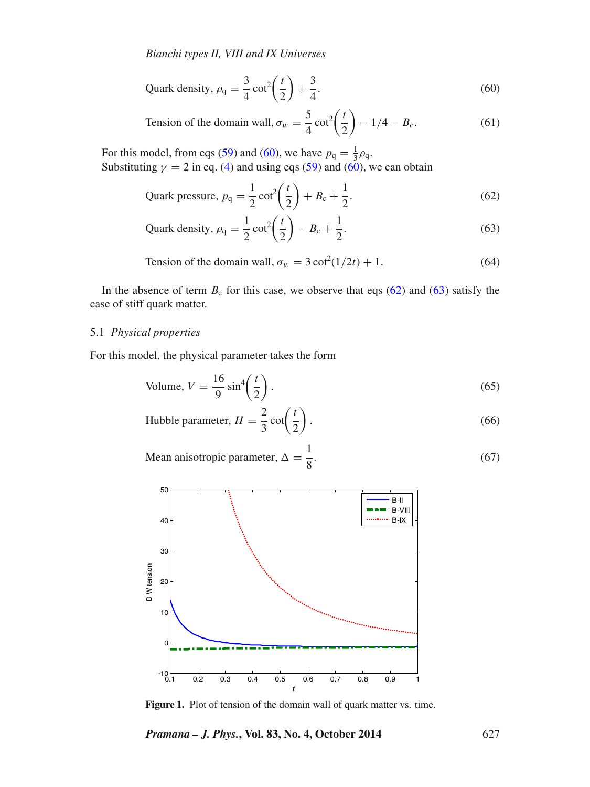<span id="page-8-0"></span>
$$
Quark density, \rho_q = \frac{3}{4} \cot^2 \left(\frac{t}{2}\right) + \frac{3}{4}.
$$
 (60)

Tension of the domain wall, 
$$
\sigma_w = \frac{5}{4} \cot^2 \left(\frac{t}{2}\right) - 1/4 - B_c.
$$
 (61)

For this model, from eqs [\(59\)](#page-7-2) and [\(60\)](#page-8-0), we have  $p_q = \frac{1}{3}\rho_q$ . Substituting  $\gamma = 2$  in eq. [\(4\)](#page-1-1) and using eqs [\(59\)](#page-7-2) and [\(60\)](#page-8-0), we can obtain

<span id="page-8-1"></span>
$$
Quark pressure, p_q = \frac{1}{2}\cot^2\left(\frac{t}{2}\right) + B_c + \frac{1}{2}.
$$
\n(62)

<span id="page-8-2"></span>
$$
Quark density, \rho_q = \frac{1}{2} \cot^2 \left(\frac{t}{2}\right) - B_c + \frac{1}{2}.
$$
 (63)

Tension of the domain wall, 
$$
\sigma_w = 3 \cot^2(1/2t) + 1
$$
. (64)

In the absence of term  $B_c$  for this case, we observe that eqs [\(62\)](#page-8-1) and [\(63\)](#page-8-2) satisfy the case of stiff quark matter.

### 5.1 *Physical properties*

For this model, the physical parameter takes the form

Volume, 
$$
V = \frac{16}{9} \sin^4\left(\frac{t}{2}\right)
$$
. (65)

Hubble parameter, 
$$
H = \frac{2}{3} \cot\left(\frac{t}{2}\right)
$$
. (66)

Mean anisotropic parameter,  $\Delta = \frac{1}{8}$ . (67)

<span id="page-8-3"></span>

Figure 1. Plot of tension of the domain wall of quark matter vs. time.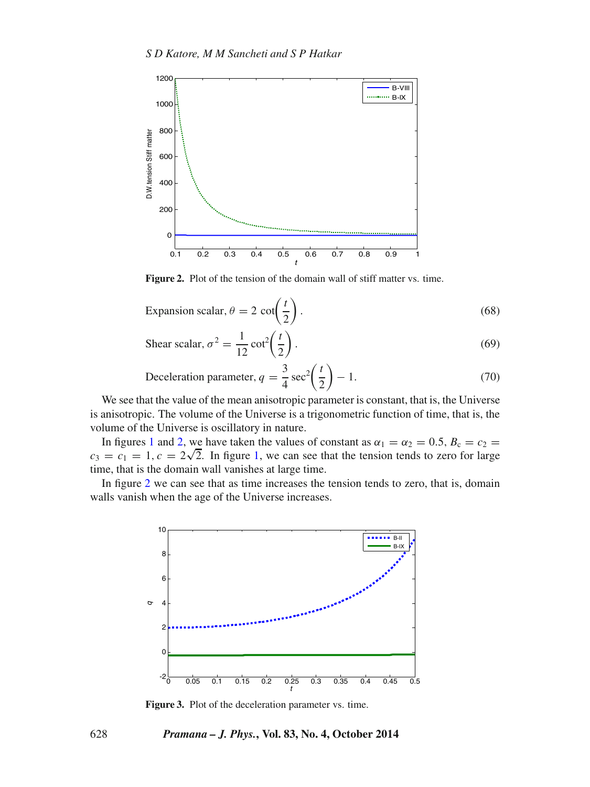<span id="page-9-0"></span>

**Figure 2.** Plot of the tension of the domain wall of stiff matter vs. time.

Expansion scalar, 
$$
\theta = 2 \cot\left(\frac{t}{2}\right)
$$
. (68)

Shear scalar, 
$$
\sigma^2 = \frac{1}{12} \cot^2 \left(\frac{t}{2}\right)
$$
. (69)

Deceleration parameter, 
$$
q = \frac{3}{4} \sec^2 \left(\frac{t}{2}\right) - 1.
$$
 (70)

We see that the value of the mean anisotropic parameter is constant, that is, the Universe is anisotropic. The volume of the Universe is a trigonometric function of time, that is, the volume of the Universe is oscillatory in nature.

In figures [1](#page-8-3) and [2,](#page-9-0) we have taken the values of constant as  $\alpha_1 = \alpha_2 = 0.5$ ,  $B_c = c_2$  $c_3 = c_1 = 1, c = 2\sqrt{2}$  $c_3 = c_1 = 1, c = 2\sqrt{2}$  $c_3 = c_1 = 1, c = 2\sqrt{2}$ . In figure 1, we can see that the tension tends to zero for large time, that is the domain wall vanishes at large time.

In figure [2](#page-9-0) we can see that as time increases the tension tends to zero, that is, domain walls vanish when the age of the Universe increases.



**Figure 3.** Plot of the deceleration parameter vs. time.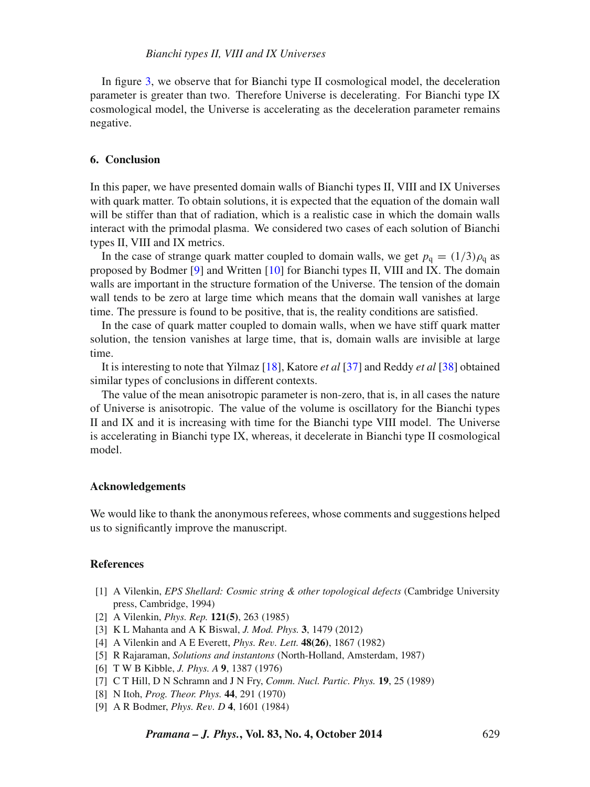In figure [3,](#page-1-0) we observe that for Bianchi type II cosmological model, the deceleration parameter is greater than two. Therefore Universe is decelerating. For Bianchi type IX cosmological model, the Universe is accelerating as the deceleration parameter remains negative.

### **6. Conclusion**

In this paper, we have presented domain walls of Bianchi types II, VIII and IX Universes with quark matter. To obtain solutions, it is expected that the equation of the domain wall will be stiffer than that of radiation, which is a realistic case in which the domain walls interact with the primodal plasma. We considered two cases of each solution of Bianchi types II, VIII and IX metrics.

In the case of strange quark matter coupled to domain walls, we get  $p_q = (1/3)\rho_q$  as proposed by Bodmer [\[9\]](#page-10-8) and Written [\[10\]](#page-11-0) for Bianchi types II, VIII and IX. The domain walls are important in the structure formation of the Universe. The tension of the domain wall tends to be zero at large time which means that the domain wall vanishes at large time. The pressure is found to be positive, that is, the reality conditions are satisfied.

In the case of quark matter coupled to domain walls, when we have stiff quark matter solution, the tension vanishes at large time, that is, domain walls are invisible at large time.

It is interesting to note that Yilmaz [\[18\]](#page-11-14), Katore *et al* [\[37\]](#page-11-35) and Reddy *et al* [\[38\]](#page-11-39) obtained similar types of conclusions in different contexts.

The value of the mean anisotropic parameter is non-zero, that is, in all cases the nature of Universe is anisotropic. The value of the volume is oscillatory for the Bianchi types II and IX and it is increasing with time for the Bianchi type VIII model. The Universe is accelerating in Bianchi type IX, whereas, it decelerate in Bianchi type II cosmological model.

#### **Acknowledgements**

We would like to thank the anonymous referees, whose comments and suggestions helped us to significantly improve the manuscript.

### **References**

- <span id="page-10-0"></span>[1] A Vilenkin, *EPS Shellard: Cosmic string & other topological defects* (Cambridge University press, Cambridge, 1994)
- <span id="page-10-1"></span>[2] A Vilenkin, *Phys. Rep.* **121(5)**, 263 (1985)
- <span id="page-10-2"></span>[3] K L Mahanta and A K Biswal, *J. Mod. Phys.* **3**, 1479 (2012)
- <span id="page-10-3"></span>[4] A Vilenkin and A E Everett, *Phys. Re*v*. Lett.* **48(26)**, 1867 (1982)
- <span id="page-10-4"></span>[5] R Rajaraman, *Solutions and instantons* (North-Holland, Amsterdam, 1987)
- <span id="page-10-5"></span>[6] T W B Kibble, *J. Phys. A* **9**, 1387 (1976)
- <span id="page-10-6"></span>[7] C T Hill, D N Schramn and J N Fry, *Comm. Nucl. Partic. Phys.* **19**, 25 (1989)
- <span id="page-10-7"></span>[8] N Itoh, *Prog. Theor. Phys.* **44**, 291 (1970)
- <span id="page-10-8"></span>[9] A R Bodmer, *Phys. Re*v*. D* **4**, 1601 (1984)